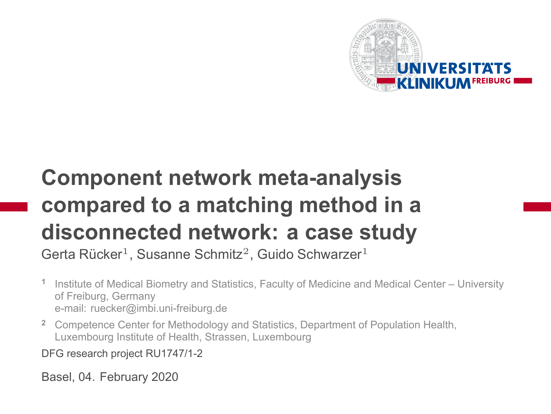

# **Component network meta-analysis compared to a matching method in a disconnected network: a case study**

Gerta Rücker<sup>1</sup>, Susanne Schmitz<sup>2</sup>, Guido Schwarzer<sup>1</sup>

- **1** Institute of Medical Biometry and Statistics, Faculty of Medicine and Medical Center – University of Freiburg, Germany e-mail: ruecker@imbi.uni-freiburg.de
- **<sup>2</sup>** Competence Center for Methodology and Statistics, Department of Population Health, Luxembourg Institute of Health, Strassen, Luxembourg

DFG research project RU1747/1-2

Basel, 04. February 2020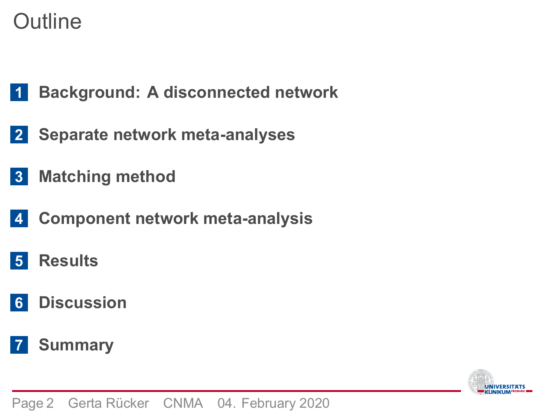**Outline** 

- **Background: A disconnected network**
- **Separate network meta-analyses**
- **Matching method**
- **Component network meta-analysis**
- **Results**
- **Discussion**
- **Summary**

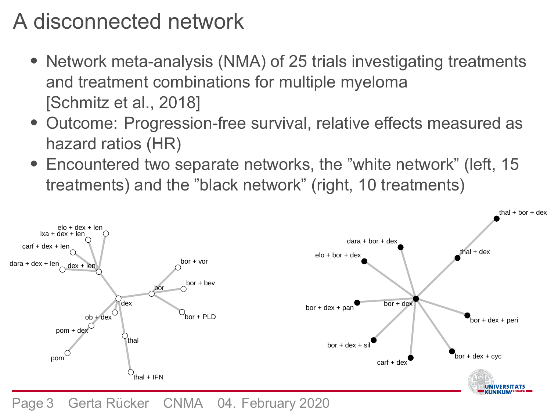## A disconnected network

- Network meta-analysis (NMA) of 25 trials investigating treatments and treatment combinations for multiple myeloma [Schmitz et al., 2018]
- Outcome: Progression-free survival, relative effects measured as hazard ratios (HR)
- Encountered two separate networks, the "white network" (left, 15 treatments) and the "black network" (right, 10 treatments)



Page 3 Gerta Rücker CNMA 04. February 2020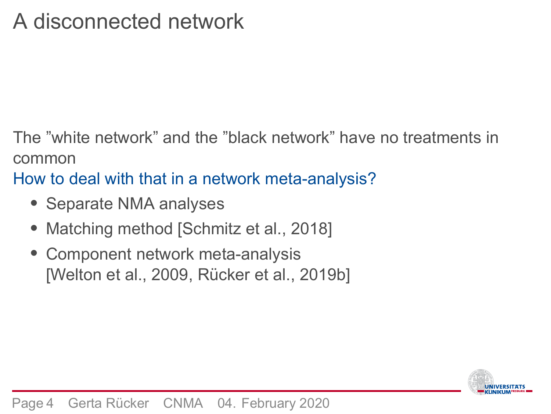## A disconnected network

The "white network" and the "black network" have no treatments in common

How to deal with that in a network meta-analysis?

- Separate NMA analyses
- Matching method [Schmitz et al., 2018]
- Component network meta-analysis [Welton et al., 2009, Rücker et al., 2019b]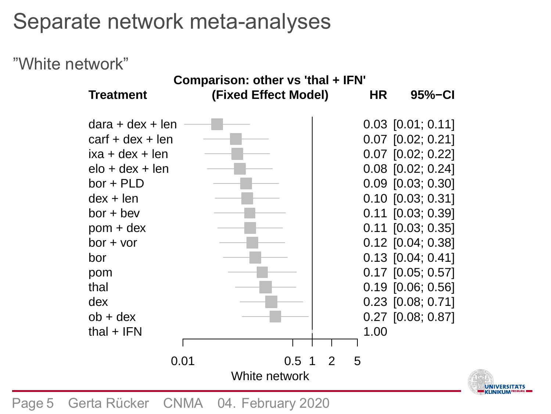## Separate network meta-analyses

#### "White network"

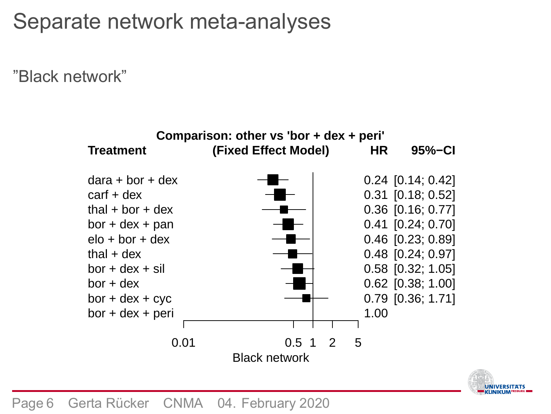## Separate network meta-analyses

"Black network"



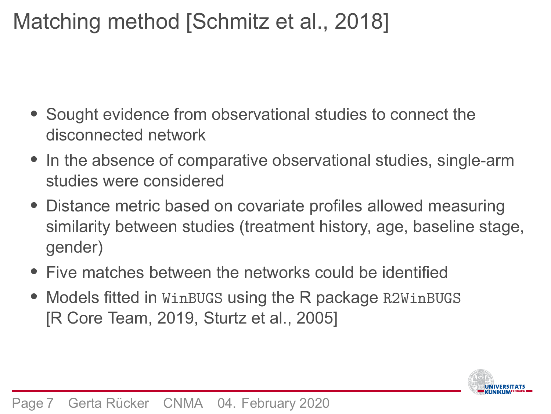### Matching method [Schmitz et al., 2018]

- Sought evidence from observational studies to connect the disconnected network
- In the absence of comparative observational studies, single-arm studies were considered
- Distance metric based on covariate profiles allowed measuring similarity between studies (treatment history, age, baseline stage, gender)
- Five matches between the networks could be identified
- Models fitted in WinBUGS using the R package R2WinBUGS [R Core Team, 2019, Sturtz et al., 2005]

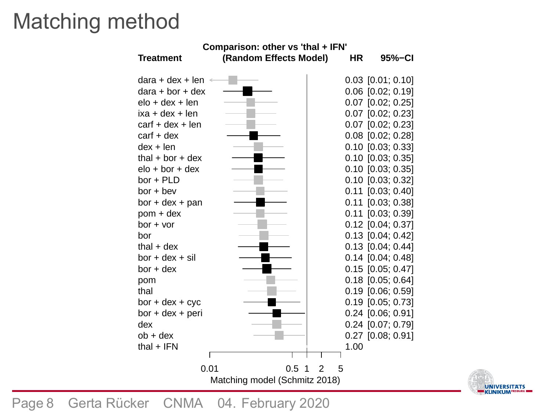## Matching method



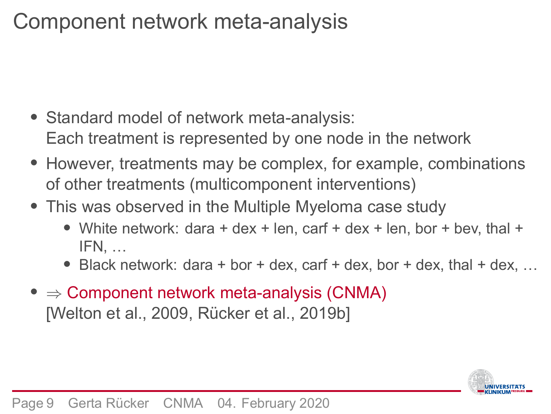## Component network meta-analysis

- Standard model of network meta-analysis: Each treatment is represented by one node in the network
- However, treatments may be complex, for example, combinations of other treatments (multicomponent interventions)
- This was observed in the Multiple Myeloma case study
	- White network: dara + dex + len, carf + dex + len, bor + bev, thal + IFN, …
	- Black network: dara + bor + dex, carf + dex, bor + dex, thal + dex, …
- ⇒ Component network meta-analysis (CNMA) [Welton et al., 2009, Rücker et al., 2019b]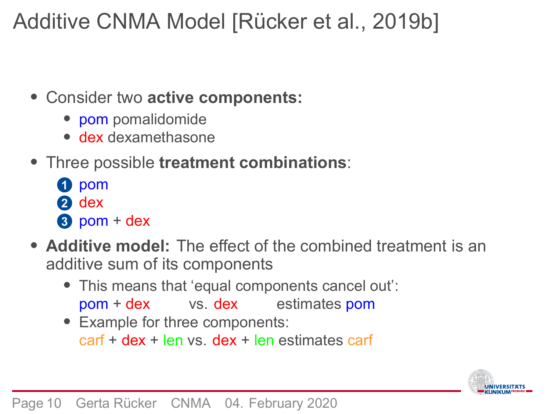## Additive CNMA Model [Rücker et al., 2019b]

- Consider two **active components:**
	- pom pomalidomide
	- dex dexamethasone
- Three possible **treatment combinations**:
	- **1** pom
	- **2** dex
	- **3** pom + dex
- **Additive model:** The effect of the combined treatment is an additive sum of its components
	- This means that 'equal components cancel out': pom + dex vs. dex estimates pom
	- Example for three components: carf + dex + len vs. dex + len estimates carf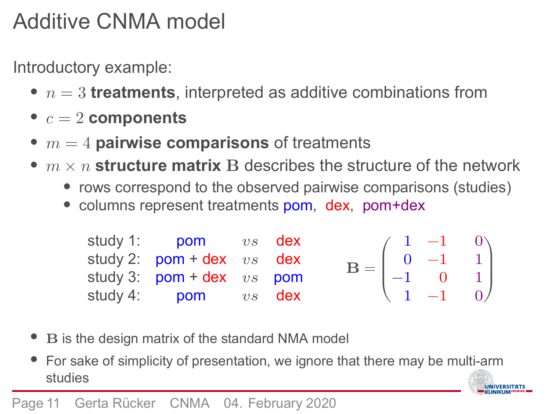## Additive CNMA model

Introductory example:

- $\bullet$   $n=3$  **treatments**, interpreted as additive combinations from
- $\bullet$   $c = 2$  components
- $m = 4$  **pairwise comparisons** of treatments
- $m \times n$  structure matrix B describes the structure of the network
	- rows correspond to the observed pairwise comparisons (studies)
	- columns represent treatments pom, dex, pom+dex

| study 1: <b>pom</b> vs <b>dex</b>                          |  |  |                                                                                                   |
|------------------------------------------------------------|--|--|---------------------------------------------------------------------------------------------------|
| study 2: $\text{pom} + \text{dex}$ $vs$ dex                |  |  | $\mathbf{B} = \begin{pmatrix} 1 & -1 & 0 \\ 0 & -1 & 1 \\ -1 & 0 & 1 \\ 1 & -1 & 0 \end{pmatrix}$ |
| study 3: $pom + dex \ vs \ pom$                            |  |  |                                                                                                   |
| study 4: $\frac{1}{2}$ pom $\frac{1}{2}$ $\frac{1}{2}$ dex |  |  |                                                                                                   |

- B is the design matrix of the standard NMA model
- For sake of simplicity of presentation, we ignore that there may be multi-arm studies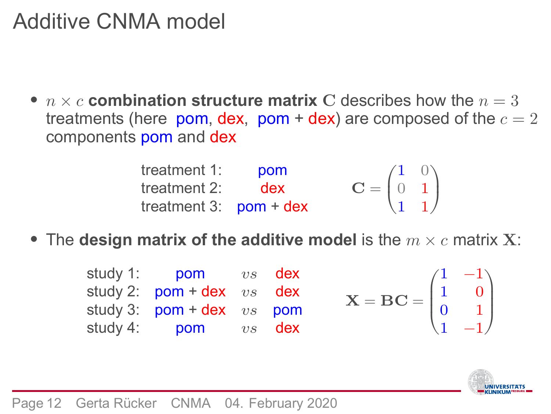## Additive CNMA model

•  $n \times c$  combination structure matrix C describes how the  $n = 3$ treatments (here pom, dex, pom + dex) are composed of the  $c = 2$ components pom and dex

| treatment 1:             | pom |                                                             |  |
|--------------------------|-----|-------------------------------------------------------------|--|
| treatment $2:$ dex       |     | $\mathbf{C} = \begin{pmatrix} 1 & 0 \\ 0 & 1 \end{pmatrix}$ |  |
| treatment 3: $pom + dex$ |     | $\begin{pmatrix} 1 & 1 \end{pmatrix}$                       |  |

• The **design matrix of the additive model** is the  $m \times c$  matrix **X**:

| study 1: <b>pom</b> vs <b>dex</b>                          |  |                                                                             |  |
|------------------------------------------------------------|--|-----------------------------------------------------------------------------|--|
| study 2: $pom + dex$ vs dex                                |  | $X = BC = \begin{pmatrix} 1 & -1 \\ 1 & 0 \\ 0 & 1 \\ 1 & -1 \end{pmatrix}$ |  |
| study 3: $\text{pom} + \text{dex}$ $vs$ $\text{pom}$       |  |                                                                             |  |
| study 4: $\frac{1}{2}$ pom $\frac{1}{2}$ $\frac{1}{2}$ dex |  |                                                                             |  |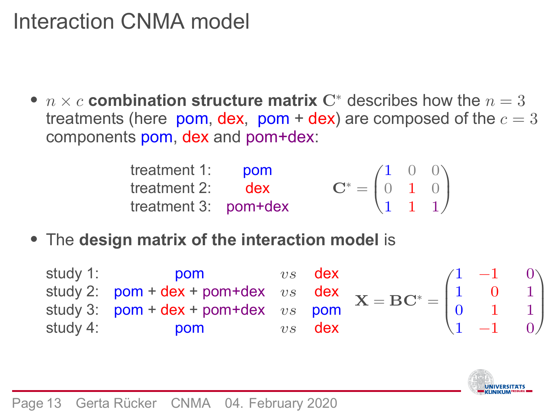## Interaction CNMA model

•  $n \times c$  combination structure matrix  $\mathbf{C}^*$  describes how the  $n = 3$ treatments (here  $\,$ pom, dex,  $\,$ pom + dex) are composed of the  $c=3$ components pom, dex and pom+dex:

| treatment $1:$ pom     |                                                                                    |  |  |
|------------------------|------------------------------------------------------------------------------------|--|--|
| treatment $2:$ dex     | $\mathbf{C}^* = \begin{pmatrix} 1 & 0 & 0 \\ 0 & 1 & 0 \\ 1 & 1 & 1 \end{pmatrix}$ |  |  |
| treatment $3:$ pom+dex |                                                                                    |  |  |

• The **design matrix of the interaction model** is

| study 1: | <b>DOM</b>                                                                                                                                                                                                                | $vs$ dex |  | $\begin{pmatrix} 1 & -1 & 0 \\ 1 & 1 & 0 \end{pmatrix}$ |  |
|----------|---------------------------------------------------------------------------------------------------------------------------------------------------------------------------------------------------------------------------|----------|--|---------------------------------------------------------|--|
|          | study 2: $pom + dex + pom + dex$ vs $dex$<br>study 3: $pom + dex + pom + dex$ vs $pom$<br>study 4: $pom$<br>$v s$ $dex$<br>$v s$ $dex$<br>$x = BC^* = \begin{pmatrix} 1 & 0 & 1 \\ 0 & 1 & 1 \\ 1 & -1 & 0 \end{pmatrix}$ |          |  |                                                         |  |
|          |                                                                                                                                                                                                                           |          |  |                                                         |  |
| study 4: | <b>DOM</b>                                                                                                                                                                                                                | $vs$ dex |  |                                                         |  |

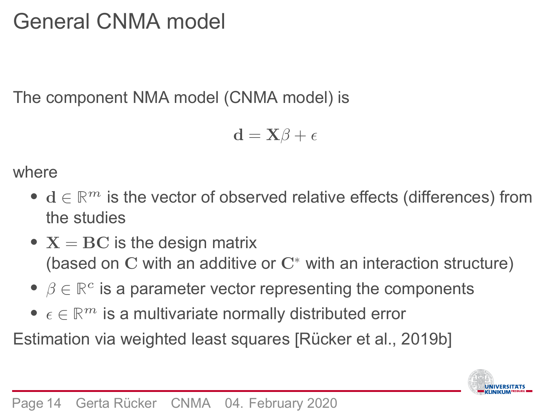## General CNMA model

The component NMA model (CNMA model) is

$$
\mathbf{d} = \mathbf{X}\boldsymbol{\beta} + \boldsymbol{\epsilon}
$$

#### where

- $d \in \mathbb{R}^m$  is the vector of observed relative effects (differences) from the studies
- $X = BC$  is the design matrix (based on  $C$  with an additive or  $C^*$  with an interaction structure)
- $\beta \in \mathbb{R}^c$  is a parameter vector representing the components
- $\epsilon \in \mathbb{R}^m$  is a multivariate normally distributed error

Estimation via weighted least squares [Rücker et al., 2019b]

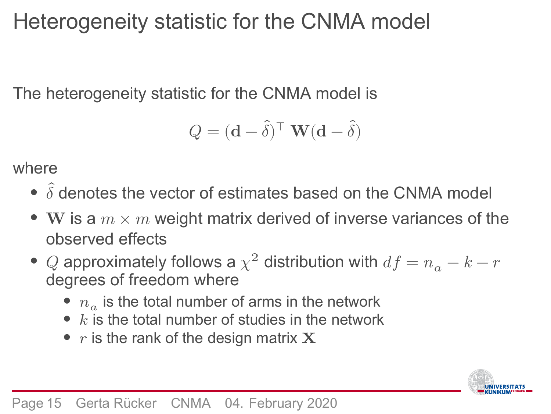### Heterogeneity statistic for the CNMA model

The heterogeneity statistic for the CNMA model is

$$
Q = (\mathbf{d} - \hat{\boldsymbol{\delta}})^\top \ \mathbf{W} (\mathbf{d} - \hat{\boldsymbol{\delta}})
$$

where

- $\bullet$   $\hat{\delta}$  denotes the vector of estimates based on the CNMA model
- W is a  $m \times m$  weight matrix derived of inverse variances of the observed effects
- $\bullet$   $\,Q$  approximately follows a  $\chi^2$  distribution with  $df = n_a k r$ degrees of freedom where
	- $n_a$  is the total number of arms in the network
	- $k$  is the total number of studies in the network
	- $r$  is the rank of the design matrix  $X$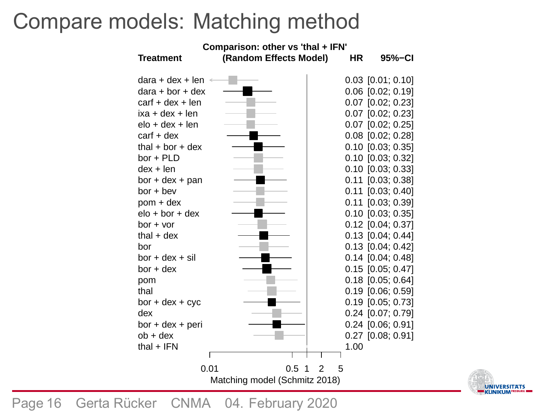### Compare models: Matching method



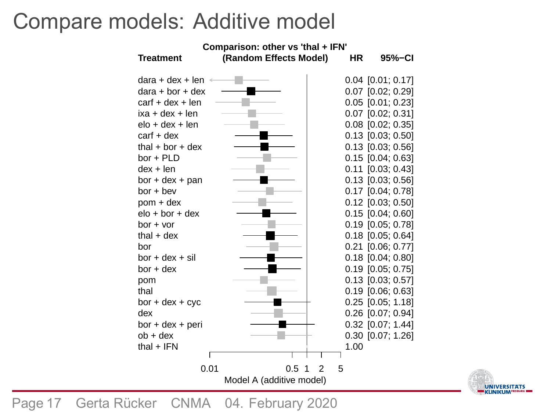### Compare models: Additive model



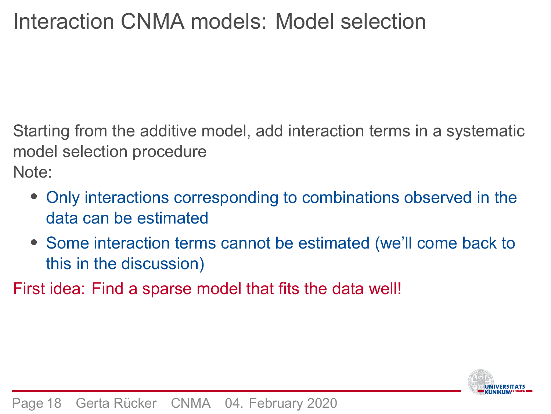Starting from the additive model, add interaction terms in a systematic model selection procedure Note:

- Only interactions corresponding to combinations observed in the data can be estimated
- Some interaction terms cannot be estimated (we'll come back to this in the discussion)

First idea: Find a sparse model that fits the data well!

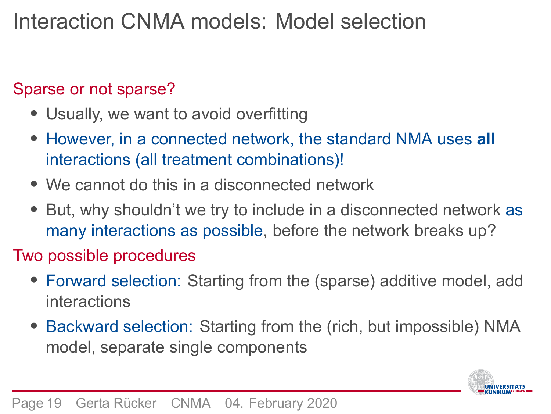#### Sparse or not sparse?

- Usually, we want to avoid overfitting
- However, in a connected network, the standard NMA uses **all** interactions (all treatment combinations)!
- We cannot do this in a disconnected network
- But, why shouldn't we try to include in a disconnected network as many interactions as possible, before the network breaks up?

#### Two possible procedures

- Forward selection: Starting from the (sparse) additive model, add interactions
- Backward selection: Starting from the (rich, but impossible) NMA model, separate single components

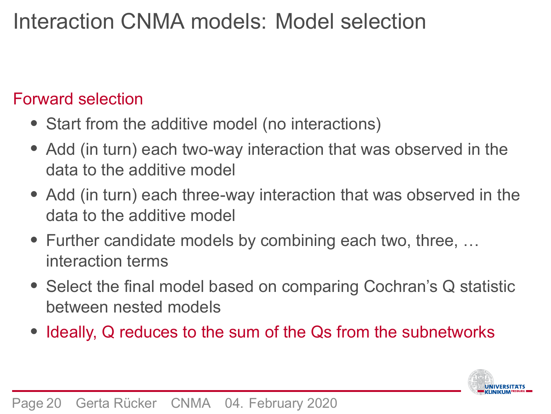#### Forward selection

- Start from the additive model (no interactions)
- Add (in turn) each two-way interaction that was observed in the data to the additive model
- Add (in turn) each three-way interaction that was observed in the data to the additive model
- Further candidate models by combining each two, three, … interaction terms
- Select the final model based on comparing Cochran's Q statistic between nested models
- Ideally, Q reduces to the sum of the Qs from the subnetworks

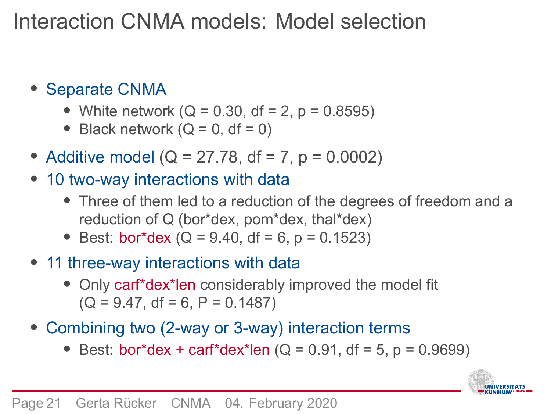- Separate CNMA
	- White network  $(Q = 0.30, df = 2, p = 0.8595)$
	- Black network  $(Q = 0, df = 0)$
- Additive model ( $Q = 27.78$ , df = 7, p = 0.0002)
- 10 two-way interactions with data
	- Three of them led to a reduction of the degrees of freedom and a reduction of Q (bor\*dex, pom\*dex, thal\*dex)
	- Best: bor\*dex ( $Q = 9.40$ , df = 6, p = 0.1523)
- 11 three-way interactions with data
	- Only carf\*dex\*len considerably improved the model fit  $(Q = 9.47, df = 6, P = 0.1487)$
- Combining two (2-way or 3-way) interaction terms
	- Best: bor\*dex + carf\*dex\*len ( $Q = 0.91$ , df = 5, p = 0.9699)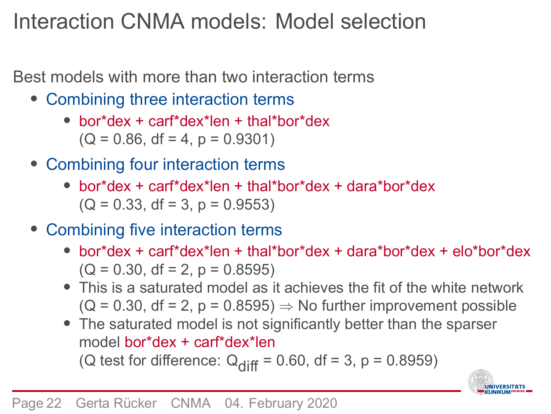Best models with more than two interaction terms

- Combining three interaction terms
	- bor\*dex + carf\*dex\*len + thal\*bor\*dex  $(Q = 0.86, df = 4, p = 0.9301)$
- Combining four interaction terms
	- bor\*dex + carf\*dex\*len + thal\*bor\*dex + dara\*bor\*dex  $(Q = 0.33, df = 3, p = 0.9553)$
- Combining five interaction terms
	- bor\*dex + carf\*dex\*len + thal\*bor\*dex + dara\*bor\*dex + elo\*bor\*dex  $(Q = 0.30, df = 2, p = 0.8595)$
	- This is a saturated model as it achieves the fit of the white network  $(Q = 0.30, df = 2, p = 0.8595) \Rightarrow No further improvement possible$
	- The saturated model is not significantly better than the sparser model bor\*dex + carf\*dex\*len (Q test for difference:  $Q_{diff} = 0.60$ , df = 3, p = 0.8959)

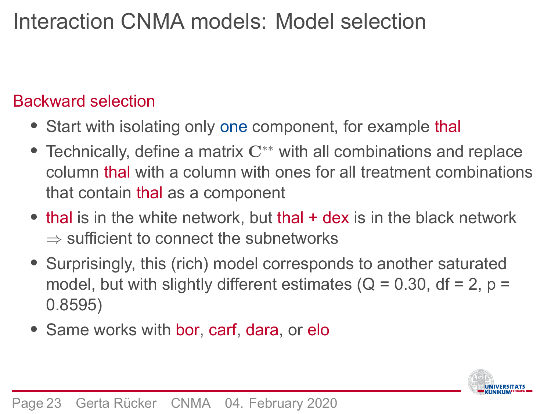#### Backward selection

- Start with isolating only one component, for example thal
- Technically, define a matrix  $C^*$  with all combinations and replace column thal with a column with ones for all treatment combinations that contain thal as a component
- thal is in the white network, but thal + dex is in the black network ⇒ sufficient to connect the subnetworks
- Surprisingly, this (rich) model corresponds to another saturated model, but with slightly different estimates ( $Q = 0.30$ , df = 2, p = 0.8595)
- Same works with bor, carf, dara, or elo

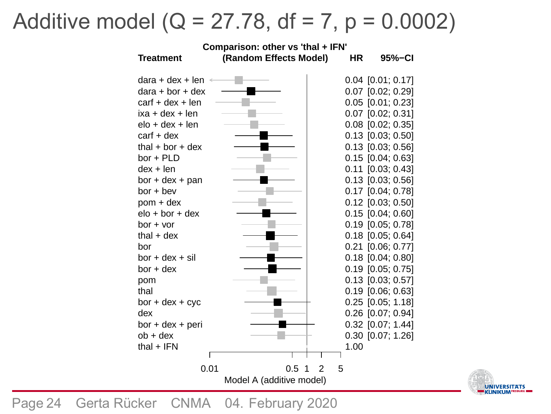# Additive model ( $Q = 27.78$ , df = 7, p = 0.0002)



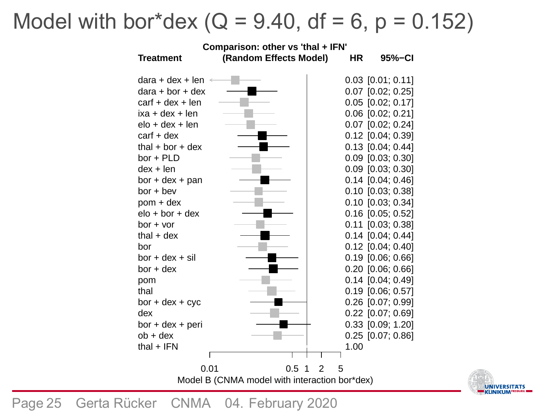# Model with bor\*dex ( $Q = 9.40$ , df = 6, p = 0.152)



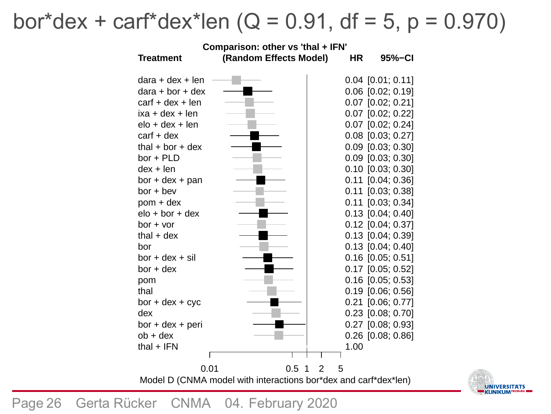# bor\*dex + carf\*dex\*len ( $Q = 0.91$ , df = 5, p = 0.970)



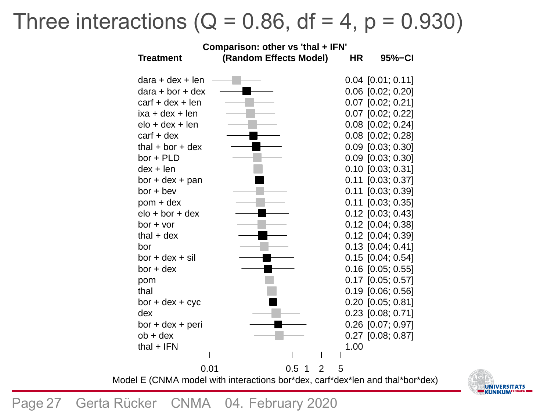## Three interactions ( $Q = 0.86$ , df = 4, p = 0.930)



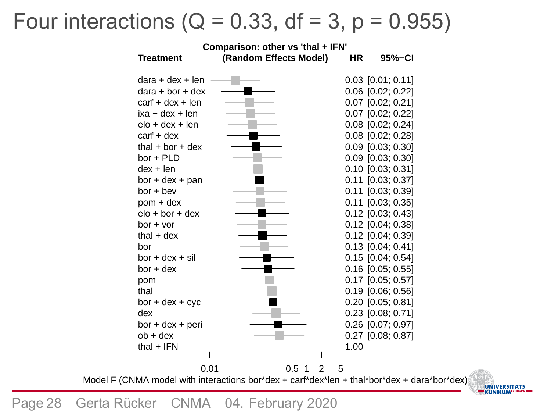## Four interactions ( $Q = 0.33$ , df = 3, p = 0.955)



UNIVERSITATS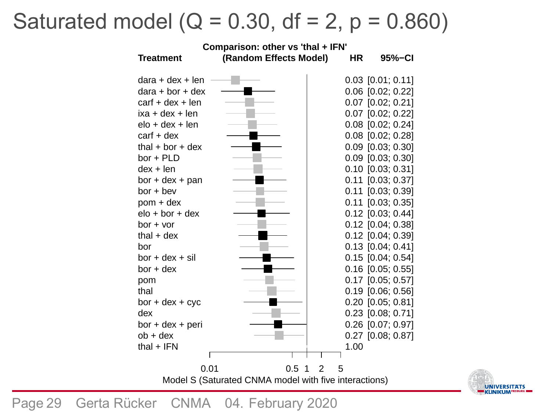## Saturated model ( $Q = 0.30$ , df = 2, p = 0.860)

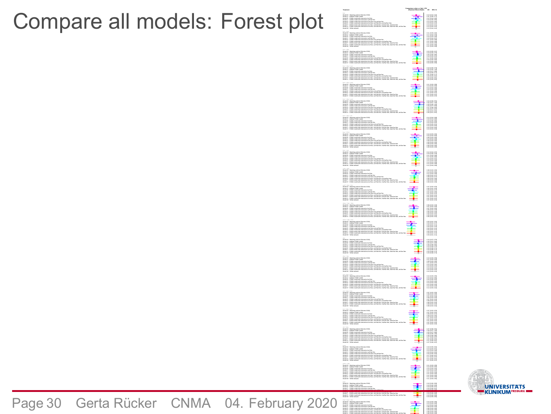Compare all models: Forest plot



Model S − CNMA model with interactions bor\*dex, carf\*dex\*len, thal\*bor\*dex, dara\*bor\*dex, elo\*bor\*dex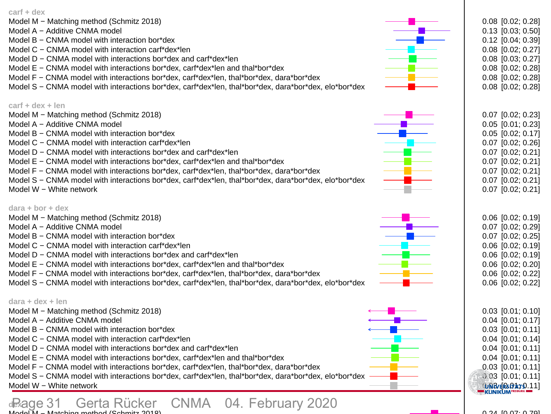| CINIVIA THOUGH WILL INTERACTIONS DOI USA, CALL USA TON, THAT DOI USA, UAIA DOI<br>Model W - White network                                                                                                                                                                                                                                                                                                                                                                                                                                                                                |     | $0.13$ [0.04; 0.41]                                                                                                                                                                                               |
|------------------------------------------------------------------------------------------------------------------------------------------------------------------------------------------------------------------------------------------------------------------------------------------------------------------------------------------------------------------------------------------------------------------------------------------------------------------------------------------------------------------------------------------------------------------------------------------|-----|-------------------------------------------------------------------------------------------------------------------------------------------------------------------------------------------------------------------|
| $bor + bev$<br>Model M - Matching method (Schmitz 2018)<br>Model A - Additive CNMA model<br>Model B - CNMA model with interaction bor*dex<br>Model C - CNMA model with interaction carf*dex*len<br>Model D - CNMA model with interactions bor*dex and carf*dex*len<br>Model E - CNMA model with interactions bor*dex, carf*dex*len and thal*bor*dex<br>Model F – CNMA model with interactions bor*dex, carf*dex*len, thal*bor*dex, dara*bor*dex<br>Model S - CNMA model with interactions bor*dex, carf*dex*len, thal*bor*dex, dara*bor*dex, elo*bor*dex<br>Model W - White network      |     | $0.11$ $[0.03; 0.40]$<br>$0.17$ [0.04; 0.78]<br>$0.10$ [0.03; 0.38]<br>$0.15$ [0.04; 0.57]<br>$0.11$ [0.03; 0.38]<br>$0.11$ $[0.03; 0.39]$<br>$0.11$ [0.03; 0.39]<br>$0.11$ $[0.03; 0.39]$<br>$0.11$ [0.03; 0.39] |
| bor + dex<br>Model M - Matching method (Schmitz 2018)<br>Model A - Additive CNMA model<br>Model B - CNMA model with interaction bor*dex<br>Model C - CNMA model with interaction carf*dex*len<br>Model D - CNMA model with interactions bor*dex and carf*dex*len<br>Model E – CNMA model with interactions bor*dex, carf*dex*len and thal*bor*dex<br>Model F - CNMA model with interactions bor*dex, carf*dex*len, thal*bor*dex, dara*bor*dex<br>Model S - CNMA model with interactions bor*dex, carf*dex*len, thal*bor*dex, dara*bor*dex, elo*bor*dex                                   |     | $0.15$ [0.05; 0.47]<br>$0.19$ [0.05; 0.75]<br>$0.20$ $[0.06; 0.66]$<br>$0.16$ [0.05; 0.51]<br>$0.17$ [0.05; 0.52]<br>$0.16$ [0.05; 0.55]<br>$0.16$ [0.05; 0.55]<br>$0.16$ [0.05; 0.55]                            |
| $bor + dex + cvc$<br>Model M - Matching method (Schmitz 2018)<br>Model A - Additive CNMA model<br>Model B - CNMA model with interaction bor*dex<br>Model C - CNMA model with interaction carf*dex*len<br>Model D - CNMA model with interactions bor*dex and carf*dex*len<br>Model E - CNMA model with interactions bor*dex, carf*dex*len and thal*bor*dex<br>Model F - CNMA model with interactions bor*dex, carf*dex*len, thal*bor*dex, dara*bor*dex<br>Model S - CNMA model with interactions bor*dex, carf*dex*len, thal*bor*dex, dara*bor*dex, elo*bor*dex                           |     | $0.19$ [0.05; 0.73]<br>$0.25$ [0.05; 1.18]<br>0.26 [0.07; 0.99]<br>$0.20$ [0.05; 0.77]<br>$0.21$ [0.06; 0.77]<br>$0.20$ [0.05; 0.81]<br>$0.20$ [0.05; 0.81]<br>$0.20$ [0.05; 0.81]                                |
| $bor + dex + pan$<br>Model M - Matching method (Schmitz 2018)<br>Model A - Additive CNMA model<br>Model B - CNMA model with interaction bor*dex<br>Model C - CNMA model with interaction carf*dex*len<br>Model D - CNMA model with interactions bor*dex and carf*dex*len<br>Model E - CNMA model with interactions bor*dex, carf*dex*len and thal*bor*dex<br>Model F – CNMA model with interactions bor*dex, carf*dex*len, thal*bor*dex, dara*bor*dex<br>Model S - CNMA model with interactions bor*dex, carf*dex*len, thal*bor*dex, dara*bor*dex, elo*bor*dex                           |     | $0.11$ $[0.03; 0.38]$<br>$0.13$ [0.03; 0.56]<br>$0.14$ [0.04; 0.46]<br>$0.10$ [0.03; 0.36]<br>$0.11$ [0.04; 0.36]<br>$0.11$ [0.03; 0.37]<br>$0.11$ [0.03; 0.37]<br>$0.11$ [0.03; 0.37]                            |
| bor + dex + peri<br>Model M - Matching method (Schmitz 2018)<br>Model A - Additive CNMA model<br>Model B - CNMA model with interaction bor*dex<br>Model C - CNMA model with interaction carf*dex*len<br>Model D - CNMA model with interactions bor*dex and carf*dex*len<br>Model E - CNMA model with interactions bor*dex, carf*dex*len and thal*bor*dex<br>Model F – CNMA model with interactions bor*dex, carf*dex*len, thal*bor*dex, dara*bor*dex<br>Model S – CNMA model with interactions bor*dex, carf*dex*len, thal*bor*dex, dara*bor*dex, elo*bor*dex                            |     | $0.24$ [0.06; 0.91]<br>0.32 [0.07; 1.44]<br>0.33 [0.09; 1.20]<br>0.25 [0.07; 0.93]<br>0.27 [0.08; 0.93]<br>$0.26$ [0.07; 0.97]<br>$0.26$ [0.07; 0.97]<br>$0.26$ [0.07; 0.97]                                      |
| $bor + dex + sil$<br>Model M - Matching method (Schmitz 2018)<br>Model A - Additive CNMA model<br>Model B - CNMA model with interaction bor*dex<br>Model C - CNMA model with interaction carf*dex*len<br>Model D - CNMA model with interactions bor*dex and carf*dex*len<br>Model E - CNMA model with interactions bor*dex, carf*dex*len and thal*bor*dex<br>Model F - CNMA model with interactions bor*dex, carf*dex*len, thal*bor*dex, dara*bor*dex<br>Model S – CNMA model with interactions bor*dex, carf*dex*len, thal*bor*dex, dara*bor*dex, elo*bor*dex                           |     | $0.14$ [0.04; 0.48]<br>$0.18$ [0.04; 0.80]<br>$0.19$ [0.06; 0.66]<br>$0.15$ [0.04; 0.52]<br>0.16 [0.05; 0.51]<br>$0.15$ [0.04; 0.54]<br>$0.15$ [0.04; 0.54]<br>$0.15$ [0.04; 0.54]                                |
| bor + PLD<br>Model M - Matching method (Schmitz 2018)<br>Model A - Additive CNMA model<br>Model B - CNMA model with interaction bor*dex<br>Model C - CNMA model with interaction carf*dex*len<br>Model D - CNMA model with interactions bor*dex and carf*dex*len<br>Model E - CNMA model with interactions bor*dex, carf*dex*len and thal*bor*dex<br>Model F - CNMA model with interactions bor*dex, carf*dex*len, thal*bor*dex, dara*bor*dex<br>Model S - CNMA model with interactions bor*dex, carf*dex*len, thal*bor*dex, dara*bor*dex, elo*bor*dex<br>Model W – White network        |     | $0.10$ [0.03; 0.32]<br>$0.15$ $[0.04; 0.63]$<br>$0.09$ [0.03; 0.30]<br>$0.13$ [0.04; 0.45]<br>0.09 [0.03; 0.30]<br>$0.09$ [0.03; 0.30]<br>$0.09$ [0.03; 0.30]<br>$0.09$ [0.03; 0.30]<br>$0.09$ [0.03; 0.30]       |
| $bor + vor$<br>Model M - Matching method (Schmitz 2018)<br>Model A - Additive CNMA model<br>Model B - CNMA model with interaction bor*dex<br>Model C - CNMA model with interaction carf*dex*len<br>Model D - CNMA model with interactions bor*dex and carf*dex*len<br>Model E - CNMA model with interactions bor*dex, carf*dex*len and thal*bor*dex<br>Model F - CNMA model with interactions bor*dex, carf*dex*len, thal*bor*dex, dara*bor*dex<br>Model S - CNMA model with interactions bor*dex, carf*dex*len, thal*bor*dex, dara*bor*dex, elo*bor*dex<br>Model W - White network      | e e | $0.12$ [0.04; 0.37]<br>$0.19$ [0.05; 0.78]<br>$0.11$ [0.03; 0.38]<br>$0.17$ $[0.05; 0.56]$<br>$0.12$ [0.04; 0.37]<br>$0.12$ $[0.04; 0.38]$<br>$0.12$ [0.04; 0.38]<br>$0.12$ [0.04; 0.38]<br>$0.12$ [0.04; 0.38]   |
| carf + dex<br>Model M - Matching method (Schmitz 2018)<br>Model A - Additive CNMA model<br>Model B - CNMA model with interaction bor*dex<br>Model C - CNMA model with interaction carf*dex*len<br>Model D - CNMA model with interactions bor*dex and carf*dex*len<br>Model E - CNMA model with interactions bor*dex, carf*dex*len and thal*bor*dex<br>Model F - CNMA model with interactions bor*dex, carf*dex*len, thal*bor*dex, dara*bor*dex<br>Model S - CNMA model with interactions bor*dex, carf*dex*len, thal*bor*dex, dara*bor*dex, elo*bor*dex                                  |     | $0.08$ $[0.02; 0.28]$<br>$0.13$ [0.03; 0.50]<br>$0.12$ [0.04; 0.39]<br>0.08 [0.02; 0.27]<br>$0.08$ [0.03; 0.27]<br>$0.08$ $[0.02; 0.28]$<br>$0.08$ [0.02; 0.28]<br>$0.08$ [0.02; 0.28]                            |
| carf + dex + len<br>Model M - Matching method (Schmitz 2018)<br>Model A - Additive CNMA model<br>Model B - CNMA model with interaction bor*dex<br>Model C - CNMA model with interaction carf*dex*len<br>Model D - CNMA model with interactions bor*dex and carf*dex*len<br>Model E - CNMA model with interactions bor*dex, carf*dex*len and thal*bor*dex<br>Model F - CNMA model with interactions bor*dex, carf*dex*len, thal*bor*dex, dara*bor*dex<br>Model S - CNMA model with interactions bor*dex, carf*dex*len, thal*bor*dex, dara*bor*dex, elo*bor*dex<br>Model W - White network |     | $0.07$ [0.02; 0.23]<br>$0.05$ [0.01; 0.23]<br>$0.05$ [0.02; 0.17]<br>$0.07$ [0.02; 0.26]<br>$0.07$ [0.02; 0.21]<br>$0.07$ [0.02; 0.21]<br>$0.07$ [0.02; 0.21]<br>$0.07$ [0.02; 0.21]<br>$0.07$ [0.02; 0.21]       |
| $dara + bor + dex$<br>Model M - Matching method (Schmitz 2018)<br>Model A - Additive CNMA model<br>Model B - CNMA model with interaction bor*dex<br>Model C - CNMA model with interaction carf*dex*len<br>Model D - CNMA model with interactions bor*dex and carf*dex*len<br>Model E - CNMA model with interactions bor*dex, carf*dex*len and thal*bor*dex<br>Model F - CNMA model with interactions bor*dex, carf*dex*len, thal*bor*dex, dara*bor*dex<br>Model S - CNMA model with interactions bor*dex, carf*dex*len, thal*bor*dex, dara*bor*dex, elo*bor*dex                          |     | $0.06$ [0.02; 0.19]<br>0.07 [0.02; 0.29]<br>$0.07$ [0.02; 0.25]<br>$0.06$ [0.02; 0.19]<br>$0.06$ [0.02; 0.19]<br>$0.06$ [0.02; 0.20]<br>$0.06$ [0.02; 0.22]<br>$0.06$ [0.02; 0.22]                                |
| dara + dex + len<br>Model M - Matching method (Schmitz 2018)<br>Model A - Additive CNMA model<br>Model B - CNMA model with interaction bor*dex<br>Model C - CNMA model with interaction carf*dex*len<br>Model D - CNMA model with interactions bor*dex and carf*dex*len<br>Model E - CNMA model with interactions bor*dex, carf*dex*len and thal*bor*dex<br>Model F - CNMA model with interactions bor*dex, carf*dex*len, thal*bor*dex, dara*bor*dex<br>Model S - CNMA model with interactions bor*dex, carf*dex*len, thal*bor*dex, dara*bor*dex, elo*bor*dex<br>Model W - White network |     | $0.03$ [0.01; 0.10]<br>0.04 [0.01; 0.17]<br>$0.03$ [0.01; 0.11]<br>$0.04$ [0.01; 0.14]<br>$0.04$ [0.01; 0.11]<br>$0.04$ [0.01; 0.11]<br>$0.03$ [0.01; 0.11]<br>$0.03$ [0.01; 0.11]<br><b>UNB/ERGATO.11</b>        |

**dex**  Model M − Matching method (Schmitz 2018) Page 31 Gerta Rücker CNMA 04. February 2020

**Contract Contract** 0.24 [0.07; 0.79]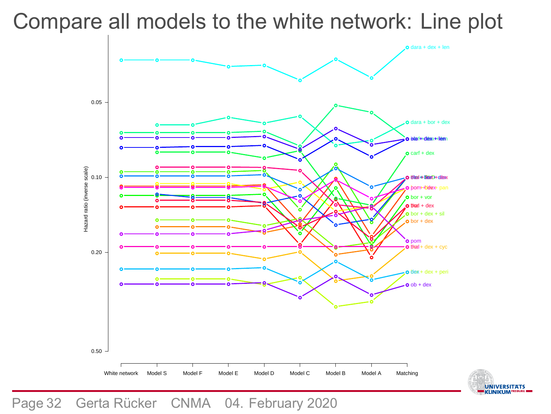

# Compare all models to the white network: Line plot

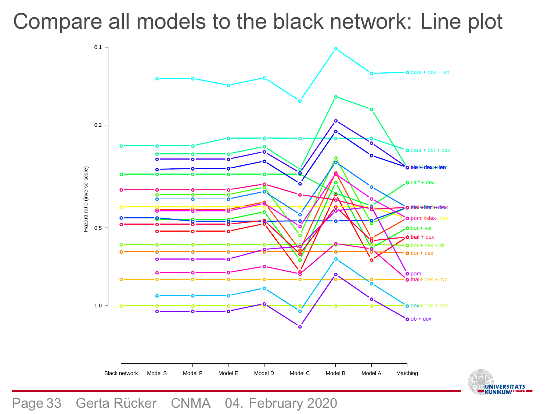



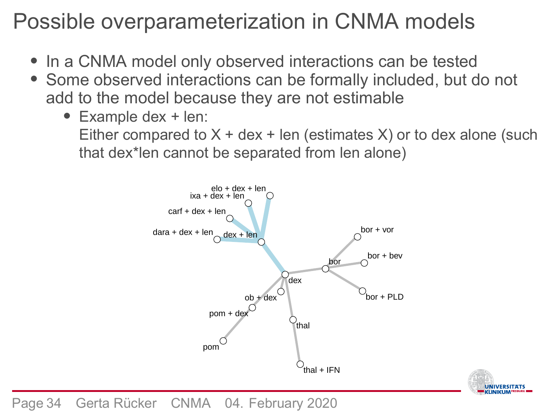### Possible overparameterization in CNMA models

- In a CNMA model only observed interactions can be tested
- Some observed interactions can be formally included, but do not add to the model because they are not estimable
	- Example dex + len: Either compared to  $X +$  dex + len (estimates  $X$ ) or to dex alone (such that dex\*len cannot be separated from len alone)



UNIVERSITATS

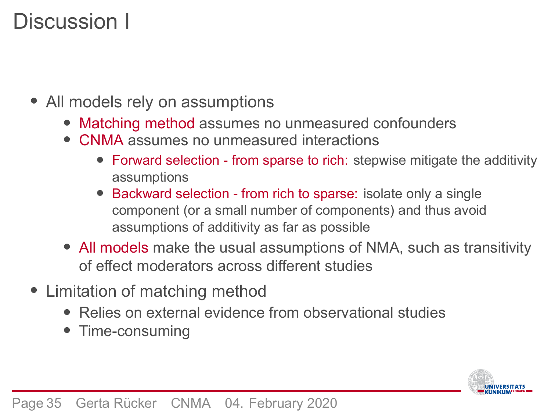### Discussion I

- All models rely on assumptions
	- Matching method assumes no unmeasured confounders
	- CNMA assumes no unmeasured interactions
		- Forward selection from sparse to rich: stepwise mitigate the additivity assumptions
		- Backward selection from rich to sparse: isolate only a single component (or a small number of components) and thus avoid assumptions of additivity as far as possible
	- All models make the usual assumptions of NMA, such as transitivity of effect moderators across different studies
- Limitation of matching method
	- Relies on external evidence from observational studies
	- Time-consuming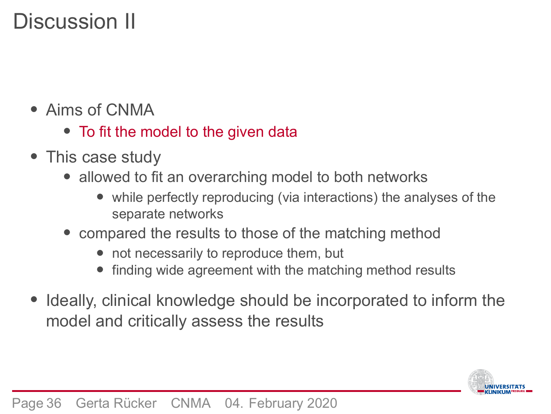### Discussion II

- Aims of CNMA
	- To fit the model to the given data
- This case study
	- allowed to fit an overarching model to both networks
		- while perfectly reproducing (via interactions) the analyses of the separate networks
	- compared the results to those of the matching method
		- not necessarily to reproduce them, but
		- finding wide agreement with the matching method results
- Ideally, clinical knowledge should be incorporated to inform the model and critically assess the results

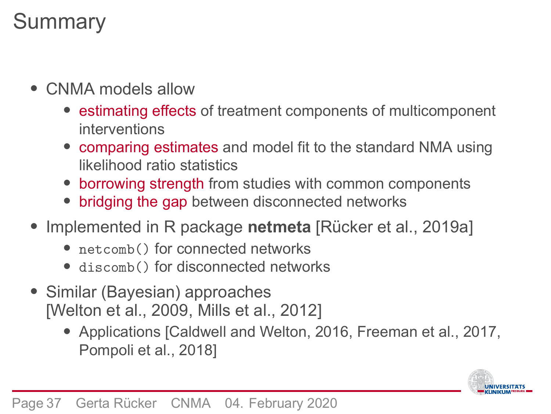### **Summary**

- CNMA models allow
	- estimating effects of treatment components of multicomponent interventions
	- comparing estimates and model fit to the standard NMA using likelihood ratio statistics
	- borrowing strength from studies with common components
	- bridging the gap between disconnected networks
- Implemented in R package **netmeta** [Rücker et al., 2019a]
	- netcomb() for connected networks
	- discomb() for disconnected networks
- Similar (Bayesian) approaches [Welton et al., 2009, Mills et al., 2012]
	- Applications [Caldwell and Welton, 2016, Freeman et al., 2017, Pompoli et al., 2018]

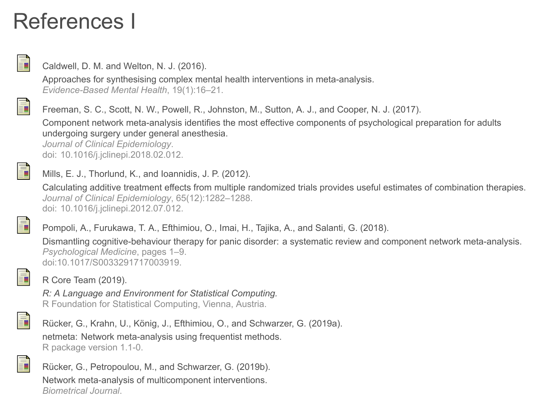### References I



Caldwell, D. M. and Welton, N. J. (2016).

Approaches for synthesising complex mental health interventions in meta-analysis. *Evidence-Based Mental Health*, 19(1):16–21.



Component network meta-analysis identifies the most effective components of psychological preparation for adults undergoing surgery under general anesthesia. *Journal of Clinical Epidemiology*.

doi: 10.1016/j.jclinepi.2018.02.012.



Mills, E. J., Thorlund, K., and Ioannidis, J. P. (2012).

Calculating additive treatment effects from multiple randomized trials provides useful estimates of combination therapies. *Journal of Clinical Epidemiology*, 65(12):1282–1288. doi: 10.1016/j.jclinepi.2012.07.012.

Pompoli, A., Furukawa, T. A., Efthimiou, O., Imai, H., Tajika, A., and Salanti, G. (2018).

Dismantling cognitive-behaviour therapy for panic disorder: a systematic review and component network meta-analysis. *Psychological Medicine*, pages 1–9. doi:10.1017/S0033291717003919.



R Core Team (2019).

*R: A Language and Environment for Statistical Computing.* R Foundation for Statistical Computing, Vienna, Austria.



Rücker, G., Krahn, U., König, J., Efthimiou, O., and Schwarzer, G. (2019a). netmeta: Network meta-analysis using frequentist methods. R package version 1.1-0.



Rücker, G., Petropoulou, M., and Schwarzer, G. (2019b). Network meta-analysis of multicomponent interventions. *Biometrical Journal*.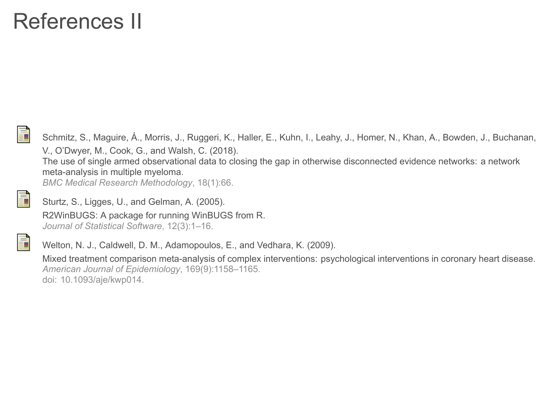### References II



Schmitz, S., Maguire, Á., Morris, J., Ruggeri, K., Haller, E., Kuhn, I., Leahy, J., Homer, N., Khan, A., Bowden, J., Buchanan, V., O'Dwyer, M., Cook, G., and Walsh, C. (2018). The use of single armed observational data to closing the gap in otherwise disconnected evidence networks: a network meta-analysis in multiple myeloma. *BMC Medical Research Methodology*, 18(1):66.

晶

Ħ

Sturtz, S., Ligges, U., and Gelman, A. (2005). R2WinBUGS: A package for running WinBUGS from R. *Journal of Statistical Software*, 12(3):1–16.

Welton, N. J., Caldwell, D. M., Adamopoulos, E., and Vedhara, K. (2009).

Mixed treatment comparison meta-analysis of complex interventions: psychological interventions in coronary heart disease. *American Journal of Epidemiology*, 169(9):1158–1165. doi: 10.1093/aje/kwp014.